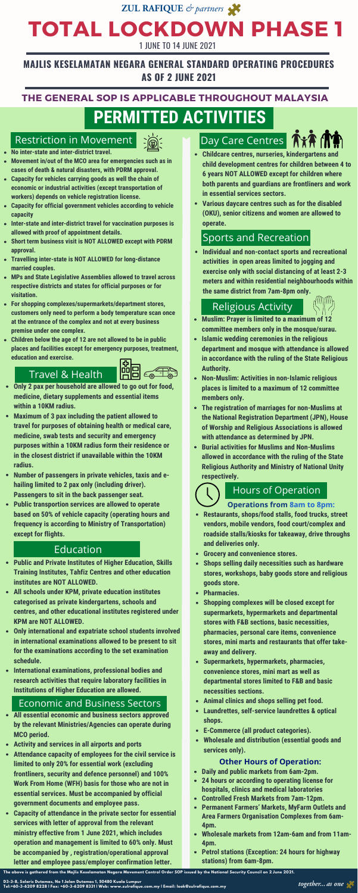# **PERMITTED ACTIVITIES**

# ZUL RAFIQUE & partners **TOTAL LOCKDOWN PHASE 1** 1 JUNE TO 14 JUNE 2021

### **THE GENERAL SOP IS APPLICABLE THROUGHOUT MALAYSIA**

### **MAJLIS KESELAMATAN NEGARA GENERAL STANDARD OPERATING PROCEDURES AS OF 2 JUNE 2021**

### **Operations from 8am to 8pm:**

# Hours of Operation

**Restaurants, shops/food stalls, food trucks, street vendors, mobile vendors, food court/complex and roadside stalls/kiosks for takeaway, drive throughs and deliveries only.**

- $\bullet$ **Daily and public markets from 6am-2pm.**
- **24 hours or according to operating license for hospitals, clinics and medical laboratories**
- **Controlled Fresh Markets from 7am-12pm.**
- **Permanent Farmers' Markets, MyFarm Outlets and Area Farmers Organisation Complexes from 6am-4pm.**
- **Wholesale markets from 12am-6am and from 11am-4pm.**
- **Petrol stations (Exception: 24 hours for highway stations) from 6am-8pm.**

The above is gathered from the Majlis Keselamatan Negara Movement Control Order SOP issued by the National Security Council on 2 June 2021.



- **Grocery and convenience stores.**
- **Shops selling daily necessities such as hardware stores, workshops, baby goods store and religious goods store.**
- **Pharmacies.**
- **Shopping complexes will be closed except for supermarkets, hypermarkets and departmental stores with F&B sections, basic necessities, pharmacies, personal care items, convenience stores, mini marts and restaurants that offer takeaway and delivery.**
- **Supermarkets, hypermarkets, pharmacies, convenience stores, mini mart as well as departmental stores limited to F&B and basic necessities sections.**
- **Animal clinics and shops selling pet food.**
- **Laundrettes, self-service laundrettes & optical**  $\bullet$ **shops.**
- **E-Commerce (all product categories).**
- **Wholesale and distribution (essential goods and services only).**

### **Other Hours of Operation:**

# Sports and Recreation

**Individual and non-contact sports and recreational activities in open areas limited to jogging and exercise only with social distancing of at least 2-3 meters and within residential neighbourhoods within the same district from 7am-8pm only.**

- **Childcare centres, nurseries, kindergartens and child development centres for children between 4 to 6 years NOT ALLOWED except for children where both parents and guardians are frontliners and work in essential services sectors.**
- **Various daycare centres such as for the disabled (OKU), senior citizens and women are allowed to operate.**

- **Muslim: Prayer is limited to a maximum of 12 committee members only in the mosque/surau.**
- **Islamic wedding ceremonies in the religious department and mosque with attendance is allowed in accordance with the ruling of the State Religious Authority.**
- **Non-Muslim: Activities in non-Islamic religious places is limited to a maximum of 12 committee members only.**
- **The registration of marriages for non-Muslims at the National Registration Department (JPN), House of Worship and Religious Associations is allowed with attendance as determined by JPN.**
- **Burial activities for Muslims and Non-Muslims allowed in accordance with the ruling of the State Religious Authority and Ministry of National Unity respectively.**

# Religious Activity



- **All essential economic and business sectors approved by the relevant Ministries/Agencies can operate during MCO period.**
- **Activity and services in all airports and ports**
- **Attendance capacity of employees for the civil service is**  $\bullet$ **limited to only 20% for essential work (excluding frontliners, security and defence personnel) and 100% Work From Home (WFH) basis for those who are not in essential services. Must be accompanied by official government documents and employee pass.**
- **Capacity of attendance in the private sector for essential services with letter of approval from the relevant ministry effective from 1 June 2021, which includes operation and management is limited to 60% only. Must be accompanied by , registration/operational approval letter and employee pass/employer confirmation letter.**

### Economic and Business Sectors

# Travel & Health



- **Only 2 pax per household are allowed to go out for food, medicine, dietary supplements and essential items within a 10KM radius.**
- **Maximum of 3 pax including the patient allowed to travel for purposes of obtaining health or medical care, medicine, swab tests and security and emergency purposes within a 10KM radius form their residence or in the closest district if unavailable within the 10KM radius.**
- **Number of passengers in private vehicles, taxis and ehailing limited to 2 pax only (including driver). Passengers to sit in the back passenger seat.**
- **Public transportion services are allowed to operate based on 50% of vehicle capacity (operating hours and frequency is according to Ministry of Transportation) except for flights.**

# Day Care Centres **AXA MA**

- **No inter-state and inter-district travel.**
- **Movement in/out of the MCO area for emergencies such as in cases of death & natural disasters, with PDRM approval.**
- **Capacity for vehicles carrying goods as well the chain of economic or industrial activities (except transportation of workers) depends on vehicle registration license.**
- **Capacity for official government vehicles according to vehicle capacity**
- **Inter-state and inter-district travel for vaccination purposes is allowed with proof of appointment details.**
- **Short term business visit is NOT ALLOWED except with PDRM approval.**
- **Travelling inter-state is NOT ALLOWED for long-distance married couples.**
- **MPs and State Legislative Assemblies allowed to travel across respective districts and states for official purposes or for visitation.**
- **For shopping complexes/supermarkets/department stores, customers only need to perform a body temperature scan once at the entrance of the complex and not at every business premise under one complex.**
- **Children below the age of 12 are not allowed to be in public places and facilities except for emergency purposes, treatment, education and exercise.**

## Restriction in Movement

- **Public and Private Institutes of Higher Education, Skills Training Institutes, Tahfiz Centres and other education institutes are NOT ALLOWED.**
- **All schools under KPM, private education institutes categorised as private kindergartens, schools and centres, and other educational institutes registered under KPM are NOT ALLOWED.**
- **Only international and expatriate school students involved in international examinations allowed to be present to sit for the examinations according to the set examination schedule.**
- **International examinations, professional bodies and research activities that require laboratory facilities in Institutions of Higher Education are allowed.**

### Education